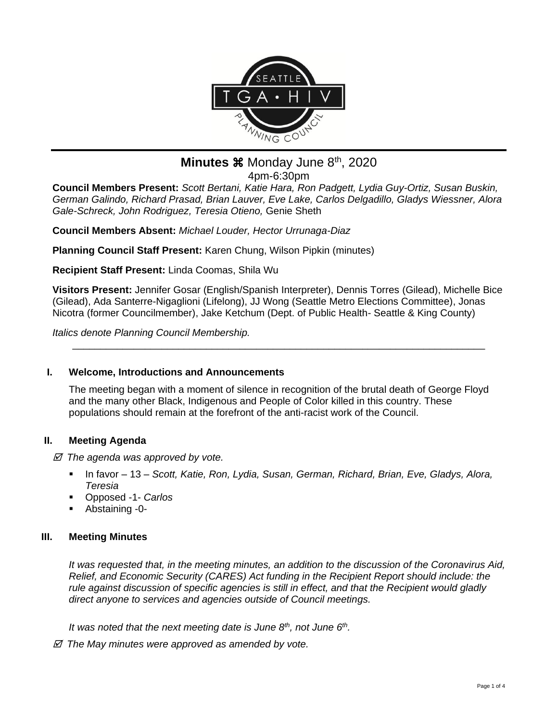

# **Minutes**  $\mathbb$  Monday June  $8<sup>th</sup>$ , 2020 4pm-6:30pm

**Council Members Present:** *Scott Bertani, Katie Hara, Ron Padgett, Lydia Guy-Ortiz, Susan Buskin, German Galindo, Richard Prasad, Brian Lauver, Eve Lake, Carlos Delgadillo, Gladys Wiessner, Alora Gale-Schreck, John Rodriguez, Teresia Otieno,* Genie Sheth

**Council Members Absent:** *Michael Louder, Hector Urrunaga-Diaz*

**Planning Council Staff Present:** Karen Chung, Wilson Pipkin (minutes)

**Recipient Staff Present:** Linda Coomas, Shila Wu

**Visitors Present:** Jennifer Gosar (English/Spanish Interpreter), Dennis Torres (Gilead), Michelle Bice (Gilead), Ada Santerre-Nigaglioni (Lifelong), JJ Wong (Seattle Metro Elections Committee), Jonas Nicotra (former Councilmember), Jake Ketchum (Dept. of Public Health- Seattle & King County)

\_\_\_\_\_\_\_\_\_\_\_\_\_\_\_\_\_\_\_\_\_\_\_\_\_\_\_\_\_\_\_\_\_\_\_\_\_\_\_\_\_\_\_\_\_\_\_\_\_\_\_\_\_\_\_\_\_\_\_\_\_\_\_\_\_\_\_\_\_\_\_\_\_\_

*Italics denote Planning Council Membership.* 

## **I. Welcome, Introductions and Announcements**

The meeting began with a moment of silence in recognition of the brutal death of George Floyd and the many other Black, Indigenous and People of Color killed in this country. These populations should remain at the forefront of the anti-racist work of the Council.

# **II. Meeting Agenda**

 *The agenda was approved by vote.*

- In favor 13 *Scott, Katie, Ron, Lydia, Susan, German, Richard, Brian, Eve, Gladys, Alora, Teresia*
- Opposed -1- *Carlos*
- Abstaining -0-

# **III. Meeting Minutes**

*It was requested that, in the meeting minutes, an addition to the discussion of the Coronavirus Aid, Relief, and Economic Security (CARES) Act funding in the Recipient Report should include: the rule against discussion of specific agencies is still in effect, and that the Recipient would gladly direct anyone to services and agencies outside of Council meetings.* 

*It was noted that the next meeting date is June 8th, not June 6th .*

 *The May minutes were approved as amended by vote.*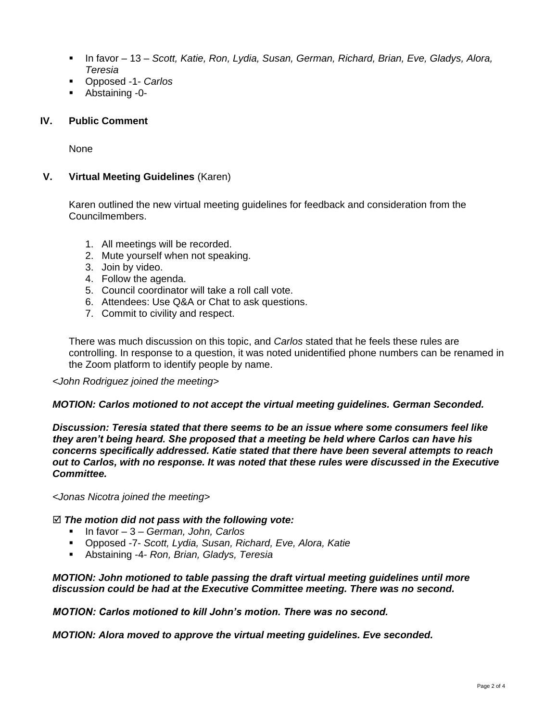- In favor 13 *Scott, Katie, Ron, Lydia, Susan, German, Richard, Brian, Eve, Gladys, Alora, Teresia*
- Opposed -1- *Carlos*
- Abstaining -0-

## **IV. Public Comment**

None

## **V. Virtual Meeting Guidelines** (Karen)

Karen outlined the new virtual meeting guidelines for feedback and consideration from the Councilmembers.

- 1. All meetings will be recorded.
- 2. Mute yourself when not speaking.
- 3. Join by video.
- 4. Follow the agenda.
- 5. Council coordinator will take a roll call vote.
- 6. Attendees: Use Q&A or Chat to ask questions.
- 7. Commit to civility and respect.

There was much discussion on this topic, and *Carlos* stated that he feels these rules are controlling. In response to a question, it was noted unidentified phone numbers can be renamed in the Zoom platform to identify people by name.

#### *<John Rodriguez joined the meeting>*

#### *MOTION: Carlos motioned to not accept the virtual meeting guidelines. German Seconded.*

*Discussion: Teresia stated that there seems to be an issue where some consumers feel like they aren't being heard. She proposed that a meeting be held where Carlos can have his concerns specifically addressed. Katie stated that there have been several attempts to reach out to Carlos, with no response. It was noted that these rules were discussed in the Executive Committee.*

*<Jonas Nicotra joined the meeting>*

#### *The motion did not pass with the following vote:*

- In favor 3 *German, John, Carlos*
- Opposed -7- *Scott, Lydia, Susan, Richard, Eve, Alora, Katie*
- Abstaining -4- *Ron, Brian, Gladys, Teresia*

#### *MOTION: John motioned to table passing the draft virtual meeting guidelines until more discussion could be had at the Executive Committee meeting. There was no second.*

*MOTION: Carlos motioned to kill John's motion. There was no second.*

*MOTION: Alora moved to approve the virtual meeting guidelines. Eve seconded.*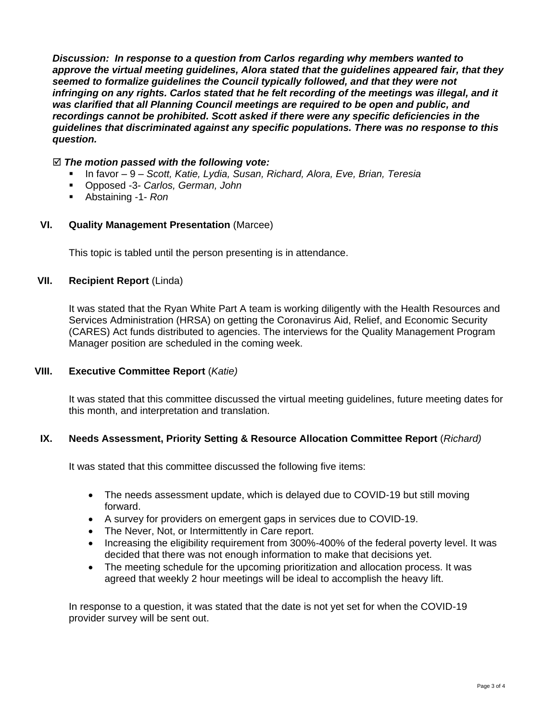*Discussion: In response to a question from Carlos regarding why members wanted to approve the virtual meeting guidelines, Alora stated that the guidelines appeared fair, that they seemed to formalize guidelines the Council typically followed, and that they were not infringing on any rights. Carlos stated that he felt recording of the meetings was illegal, and it was clarified that all Planning Council meetings are required to be open and public, and recordings cannot be prohibited. Scott asked if there were any specific deficiencies in the guidelines that discriminated against any specific populations. There was no response to this question.*

### *The motion passed with the following vote:*

- In favor 9 *Scott, Katie, Lydia, Susan, Richard, Alora, Eve, Brian, Teresia*
- Opposed -3- *Carlos, German, John*
- Abstaining -1- *Ron*

### **VI. Quality Management Presentation** (Marcee)

This topic is tabled until the person presenting is in attendance.

## **VII. Recipient Report** (Linda)

It was stated that the Ryan White Part A team is working diligently with the Health Resources and Services Administration (HRSA) on getting the Coronavirus Aid, Relief, and Economic Security (CARES) Act funds distributed to agencies. The interviews for the Quality Management Program Manager position are scheduled in the coming week.

## **VIII. Executive Committee Report** (*Katie)*

It was stated that this committee discussed the virtual meeting guidelines, future meeting dates for this month, and interpretation and translation.

## **IX. Needs Assessment, Priority Setting & Resource Allocation Committee Report** (*Richard)*

It was stated that this committee discussed the following five items:

- The needs assessment update, which is delayed due to COVID-19 but still moving forward.
- A survey for providers on emergent gaps in services due to COVID-19.
- The Never, Not, or Intermittently in Care report.
- Increasing the eligibility requirement from 300%-400% of the federal poverty level. It was decided that there was not enough information to make that decisions yet.
- The meeting schedule for the upcoming prioritization and allocation process. It was agreed that weekly 2 hour meetings will be ideal to accomplish the heavy lift.

In response to a question, it was stated that the date is not yet set for when the COVID-19 provider survey will be sent out.